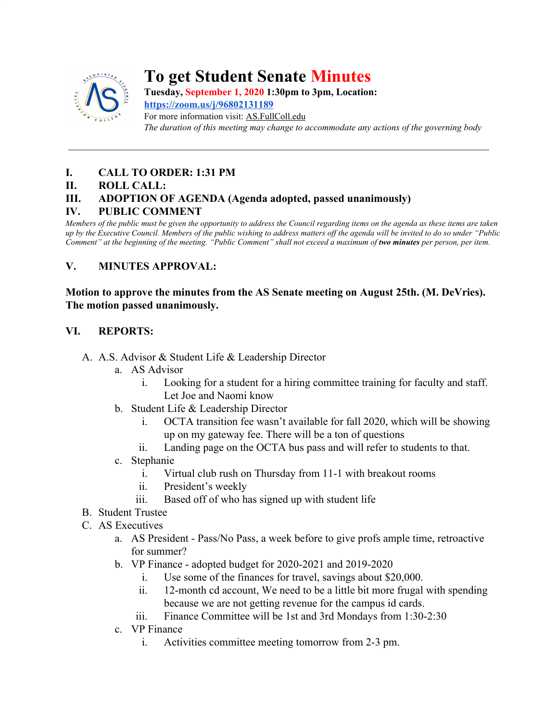

# **To get Student Senate Minutes**

**Tuesday, September 1, 2020 1:30pm to 3pm, Location:**

**<https://zoom.us/j/96802131189>** For more information visit: AS.FullColl.edu *The duration of this meeting may change to accommodate any actions of the governing body*

## **I. CALL TO ORDER: 1:31 PM**

#### **II. ROLL CALL:**

## **III. ADOPTION OF AGENDA (Agenda adopted, passed unanimously)**

#### **IV. PUBLIC COMMENT**

*Members of the public must be given the opportunity to address the Council regarding items on the agenda as these items are taken up by the Executive Council. Members of the public wishing to address matters off the agenda will be invited to do so under "Public Comment" at the beginning of the meeting. "Public Comment" shall not exceed a maximum of two minutes per person, per item.*

#### **V. MINUTES APPROVAL:**

**Motion to approve the minutes from the AS Senate meeting on August 25th. (M. DeVries). The motion passed unanimously.**

#### **VI. REPORTS:**

- A. A.S. Advisor & Student Life & Leadership Director
	- a. AS Advisor
		- i. Looking for a student for a hiring committee training for faculty and staff. Let Joe and Naomi know
	- b. Student Life & Leadership Director
		- i. OCTA transition fee wasn't available for fall 2020, which will be showing up on my gateway fee. There will be a ton of questions
		- ii. Landing page on the OCTA bus pass and will refer to students to that.
	- c. Stephanie
		- i. Virtual club rush on Thursday from 11-1 with breakout rooms
		- ii. President's weekly
		- iii. Based off of who has signed up with student life
- B. Student Trustee
- C. AS Executives
	- a. AS President Pass/No Pass, a week before to give profs ample time, retroactive for summer?
	- b. VP Finance adopted budget for 2020-2021 and 2019-2020
		- i. Use some of the finances for travel, savings about \$20,000.
		- ii. 12-month cd account, We need to be a little bit more frugal with spending because we are not getting revenue for the campus id cards.
		- iii. Finance Committee will be 1st and 3rd Mondays from 1:30-2:30
	- c. VP Finance
		- i. Activities committee meeting tomorrow from 2-3 pm.